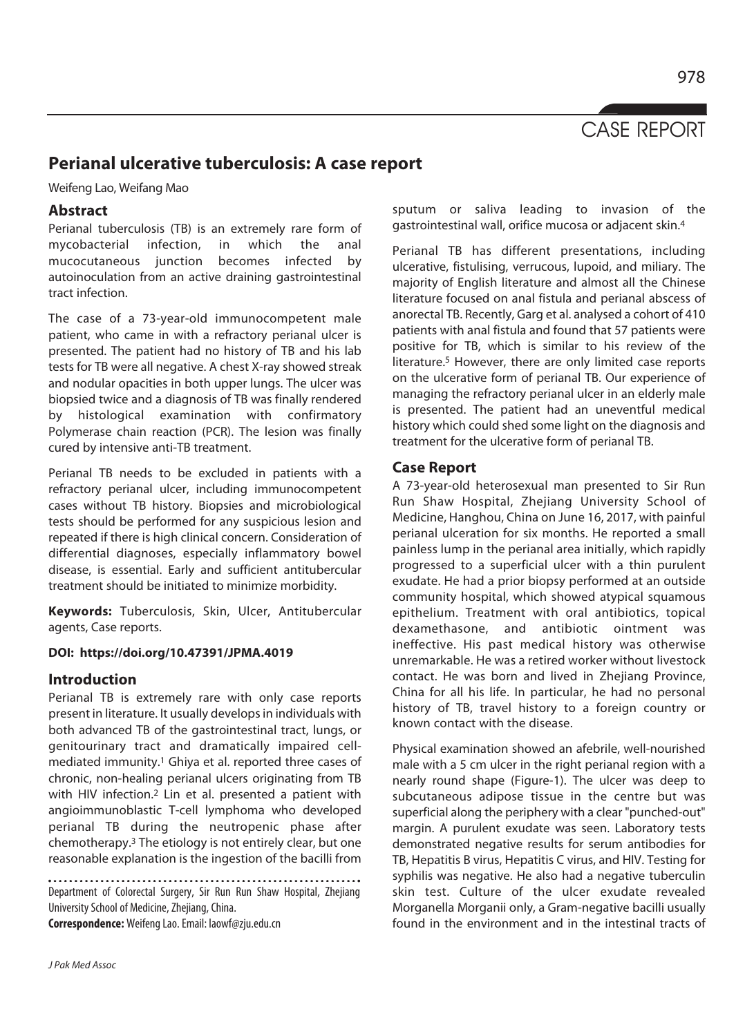978

# **Perianal ulcerative tuberculosis: A case report**

Weifeng Lao, Weifang Mao

## **Abstract**

Perianal tuberculosis (TB) is an extremely rare form of mycobacterial infection, in which the anal mucocutaneous junction becomes infected by autoinoculation from an active draining gastrointestinal tract infection.

The case of a 73-year-old immunocompetent male patient, who came in with a refractory perianal ulcer is presented. The patient had no history of TB and his lab tests for TB were all negative. A chest X-ray showed streak and nodular opacities in both upper lungs. The ulcer was biopsied twice and a diagnosis of TB was finally rendered by histological examination with confirmatory Polymerase chain reaction (PCR). The lesion was finally cured by intensive anti-TB treatment.

Perianal TB needs to be excluded in patients with a refractory perianal ulcer, including immunocompetent cases without TB history. Biopsies and microbiological tests should be performed for any suspicious lesion and repeated if there is high clinical concern. Consideration of differential diagnoses, especially inflammatory bowel disease, is essential. Early and sufficient antitubercular treatment should be initiated to minimize morbidity.

**Keywords:** Tuberculosis, Skin, Ulcer, Antitubercular agents, Case reports.

### **DOI: https://doi.org/10.47391/JPMA.4019**

## **Introduction**

Perianal TB is extremely rare with only case reports present in literature. It usually develops in individuals with both advanced TB of the gastrointestinal tract, lungs, or genitourinary tract and dramatically impaired cellmediated immunity.1 Ghiya et al. reported three cases of chronic, non-healing perianal ulcers originating from TB with HIV infection.<sup>2</sup> Lin et al. presented a patient with angioimmunoblastic T-cell lymphoma who developed perianal TB during the neutropenic phase after chemotherapy.3 The etiology is not entirely clear, but one reasonable explanation is the ingestion of the bacilli from

Department of Colorectal Surgery, Sir Run Run Shaw Hospital, Zhejiang University School of Medicine, Zhejiang, China.

**Correspondence:** Weifeng Lao. Email: laowf@zju.edu.cn

sputum or saliva leading to invasion of the gastrointestinal wall, orifice mucosa or adjacent skin.4

Perianal TB has different presentations, including ulcerative, fistulising, verrucous, lupoid, and miliary. The majority of English literature and almost all the Chinese literature focused on anal fistula and perianal abscess of anorectal TB. Recently, Garg et al. analysed a cohort of 410 patients with anal fistula and found that 57 patients were positive for TB, which is similar to his review of the literature.<sup>5</sup> However, there are only limited case reports on the ulcerative form of perianal TB. Our experience of managing the refractory perianal ulcer in an elderly male is presented. The patient had an uneventful medical history which could shed some light on the diagnosis and treatment for the ulcerative form of perianal TB.

## **Case Report**

A 73-year-old heterosexual man presented to Sir Run Run Shaw Hospital, Zhejiang University School of Medicine, Hanghou, China on June 16, 2017, with painful perianal ulceration for six months. He reported a small painless lump in the perianal area initially, which rapidly progressed to a superficial ulcer with a thin purulent exudate. He had a prior biopsy performed at an outside community hospital, which showed atypical squamous epithelium. Treatment with oral antibiotics, topical dexamethasone, and antibiotic ointment was ineffective. His past medical history was otherwise unremarkable. He was a retired worker without livestock contact. He was born and lived in Zhejiang Province, China for all his life. In particular, he had no personal history of TB, travel history to a foreign country or known contact with the disease.

Physical examination showed an afebrile, well-nourished male with a 5 cm ulcer in the right perianal region with a nearly round shape (Figure-1). The ulcer was deep to subcutaneous adipose tissue in the centre but was superficial along the periphery with a clear "punched-out" margin. A purulent exudate was seen. Laboratory tests demonstrated negative results for serum antibodies for TB, Hepatitis B virus, Hepatitis C virus, and HIV. Testing for syphilis was negative. He also had a negative tuberculin skin test. Culture of the ulcer exudate revealed Morganella Morganii only, a Gram-negative bacilli usually found in the environment and in the intestinal tracts of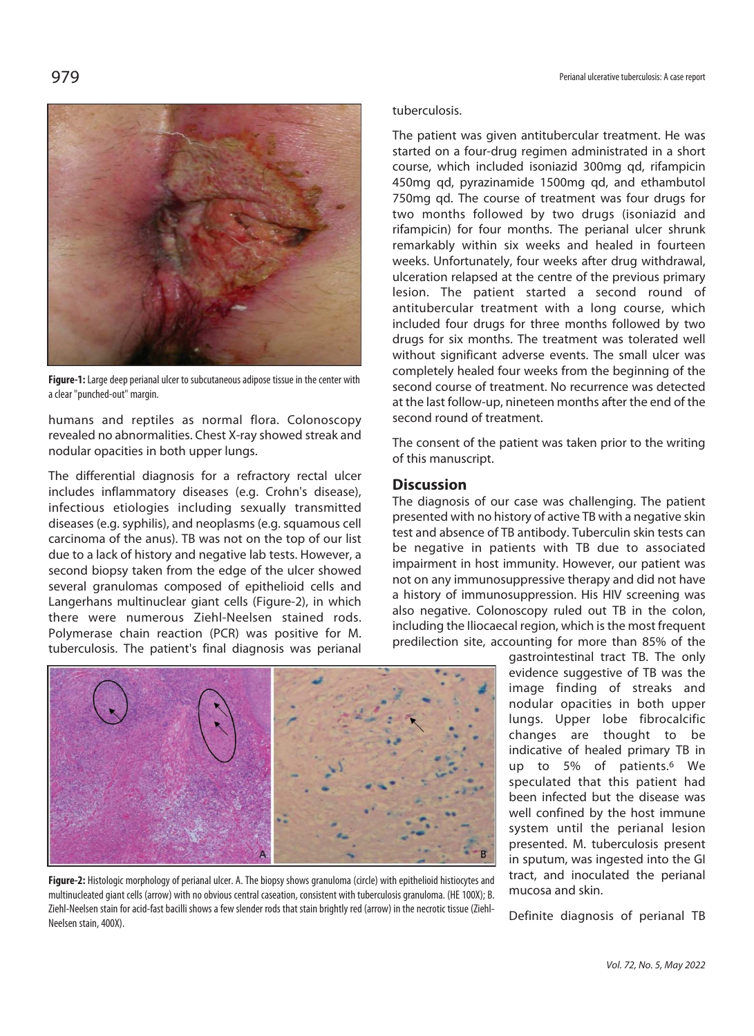

**Figure-1:** Large deep perianal ulcer to subcutaneous adipose tissue in the center with a clear "punched-out" margin.

humans and reptiles as normal flora. Colonoscopy revealed no abnormalities. Chest X-ray showed streak and nodular opacities in both upper lungs.

The differential diagnosis for a refractory rectal ulcer includes inflammatory diseases (e.g. Crohn's disease), infectious etiologies including sexually transmitted diseases (e.g. syphilis), and neoplasms (e.g. squamous cell carcinoma of the anus). TB was not on the top of our list due to a lack of history and negative lab tests. However, a second biopsy taken from the edge of the ulcer showed several granulomas composed of epithelioid cells and Langerhans multinuclear giant cells (Figure-2), in which there were numerous Ziehl-Neelsen stained rods. Polymerase chain reaction (PCR) was positive for M. tuberculosis. The patient's final diagnosis was perianal

**Figure-2:** Histologic morphology of perianal ulcer. A. The biopsy shows granuloma (circle) with epithelioid histiocytes and multinucleated giant cells (arrow) with no obvious central caseation, consistent with tuberculosis granuloma. (HE 100X); B. Ziehl-Neelsen stain for acid-fast bacilli shows a few slender rods that stain brightly red (arrow) in the necrotic tissue (Ziehl-Neelsen stain, 400X).

### tuberculosis.

The patient was given antitubercular treatment. He was started on a four-drug regimen administrated in a short course, which included isoniazid 300mg qd, rifampicin 450mg qd, pyrazinamide 1500mg qd, and ethambutol 750mg qd. The course of treatment was four drugs for two months followed by two drugs (isoniazid and rifampicin) for four months. The perianal ulcer shrunk remarkably within six weeks and healed in fourteen weeks. Unfortunately, four weeks after drug withdrawal, ulceration relapsed at the centre of the previous primary lesion. The patient started a second round of antitubercular treatment with a long course, which included four drugs for three months followed by two drugs for six months. The treatment was tolerated well without significant adverse events. The small ulcer was completely healed four weeks from the beginning of the second course of treatment. No recurrence was detected at the last follow-up, nineteen months after the end of the second round of treatment.

The consent of the patient was taken prior to the writing of this manuscript.

### **Discussion**

The diagnosis of our case was challenging. The patient presented with no history of active TB with a negative skin test and absence of TB antibody. Tuberculin skin tests can be negative in patients with TB due to associated impairment in host immunity. However, our patient was not on any immunosuppressive therapy and did not have a history of immunosuppression. His HIV screening was also negative. Colonoscopy ruled out TB in the colon, including the Iliocaecal region, which is the most frequent predilection site, accounting for more than 85% of the

> gastrointestinal tract TB. The only evidence suggestive of TB was the image finding of streaks and nodular opacities in both upper lungs. Upper lobe fibrocalcific changes are thought to be indicative of healed primary TB in up to 5% of patients.6 We speculated that this patient had been infected but the disease was well confined by the host immune system until the perianal lesion presented. M. tuberculosis present in sputum, was ingested into the GI tract, and inoculated the perianal mucosa and skin.

Definite diagnosis of perianal TB